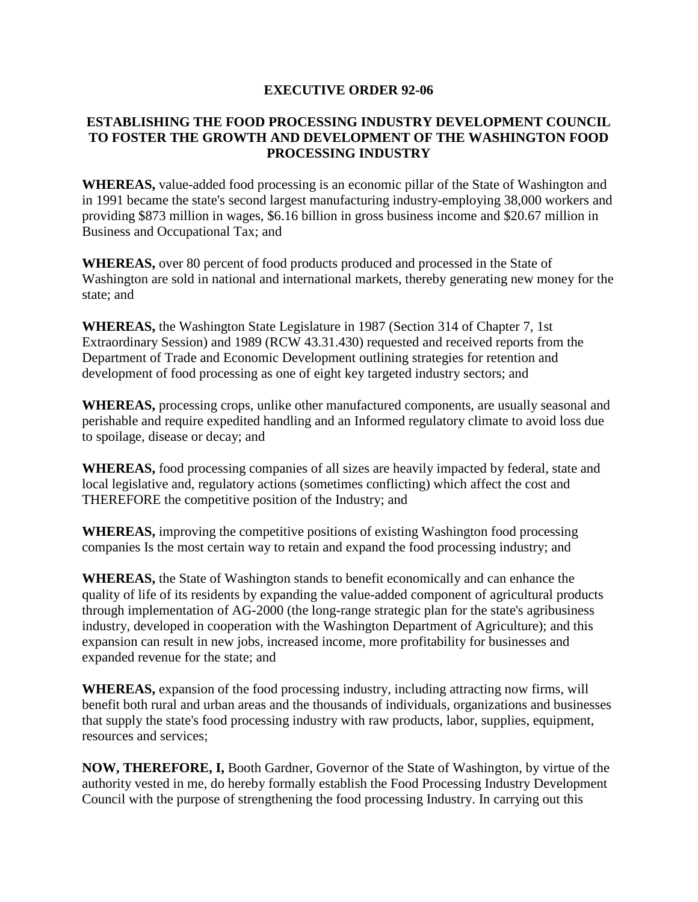## **EXECUTIVE ORDER 92-06**

## **ESTABLISHING THE FOOD PROCESSING INDUSTRY DEVELOPMENT COUNCIL TO FOSTER THE GROWTH AND DEVELOPMENT OF THE WASHINGTON FOOD PROCESSING INDUSTRY**

**WHEREAS,** value-added food processing is an economic pillar of the State of Washington and in 1991 became the state's second largest manufacturing industry-employing 38,000 workers and providing \$873 million in wages, \$6.16 billion in gross business income and \$20.67 million in Business and Occupational Tax; and

**WHEREAS,** over 80 percent of food products produced and processed in the State of Washington are sold in national and international markets, thereby generating new money for the state; and

**WHEREAS,** the Washington State Legislature in 1987 (Section 314 of Chapter 7, 1st Extraordinary Session) and 1989 (RCW 43.31.430) requested and received reports from the Department of Trade and Economic Development outlining strategies for retention and development of food processing as one of eight key targeted industry sectors; and

**WHEREAS,** processing crops, unlike other manufactured components, are usually seasonal and perishable and require expedited handling and an Informed regulatory climate to avoid loss due to spoilage, disease or decay; and

**WHEREAS,** food processing companies of all sizes are heavily impacted by federal, state and local legislative and, regulatory actions (sometimes conflicting) which affect the cost and THEREFORE the competitive position of the Industry; and

**WHEREAS,** improving the competitive positions of existing Washington food processing companies Is the most certain way to retain and expand the food processing industry; and

**WHEREAS,** the State of Washington stands to benefit economically and can enhance the quality of life of its residents by expanding the value-added component of agricultural products through implementation of AG-2000 (the long-range strategic plan for the state's agribusiness industry, developed in cooperation with the Washington Department of Agriculture); and this expansion can result in new jobs, increased income, more profitability for businesses and expanded revenue for the state; and

**WHEREAS,** expansion of the food processing industry, including attracting now firms, will benefit both rural and urban areas and the thousands of individuals, organizations and businesses that supply the state's food processing industry with raw products, labor, supplies, equipment, resources and services;

**NOW, THEREFORE, I,** Booth Gardner, Governor of the State of Washington, by virtue of the authority vested in me, do hereby formally establish the Food Processing Industry Development Council with the purpose of strengthening the food processing Industry. In carrying out this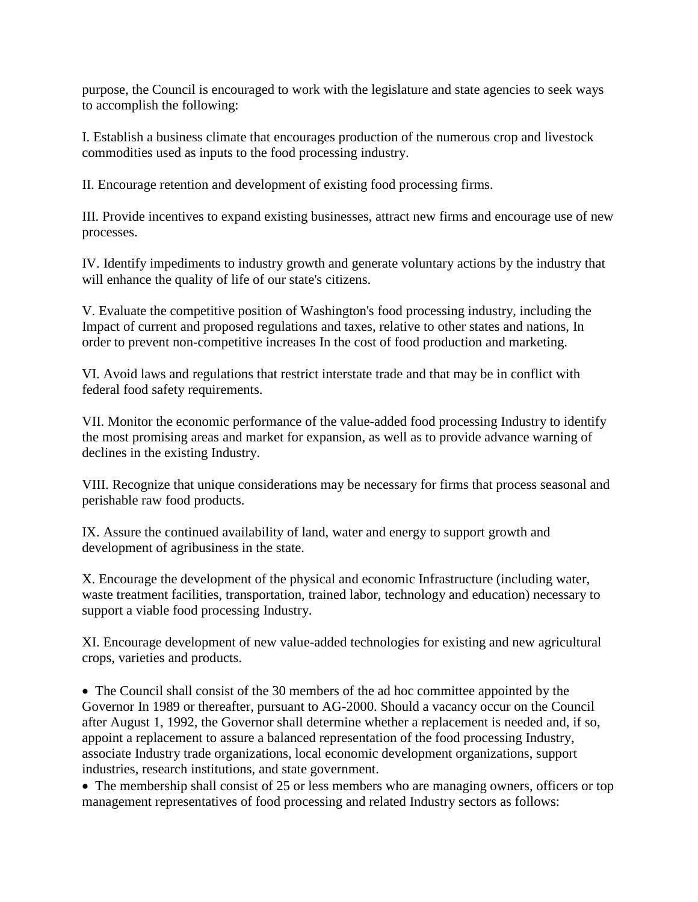purpose, the Council is encouraged to work with the legislature and state agencies to seek ways to accomplish the following:

I. Establish a business climate that encourages production of the numerous crop and livestock commodities used as inputs to the food processing industry.

II. Encourage retention and development of existing food processing firms.

III. Provide incentives to expand existing businesses, attract new firms and encourage use of new processes.

IV. Identify impediments to industry growth and generate voluntary actions by the industry that will enhance the quality of life of our state's citizens.

V. Evaluate the competitive position of Washington's food processing industry, including the Impact of current and proposed regulations and taxes, relative to other states and nations, In order to prevent non-competitive increases In the cost of food production and marketing.

VI. Avoid laws and regulations that restrict interstate trade and that may be in conflict with federal food safety requirements.

VII. Monitor the economic performance of the value-added food processing Industry to identify the most promising areas and market for expansion, as well as to provide advance warning of declines in the existing Industry.

VIII. Recognize that unique considerations may be necessary for firms that process seasonal and perishable raw food products.

IX. Assure the continued availability of land, water and energy to support growth and development of agribusiness in the state.

X. Encourage the development of the physical and economic Infrastructure (including water, waste treatment facilities, transportation, trained labor, technology and education) necessary to support a viable food processing Industry.

XI. Encourage development of new value-added technologies for existing and new agricultural crops, varieties and products.

• The Council shall consist of the 30 members of the ad hoc committee appointed by the Governor In 1989 or thereafter, pursuant to AG-2000. Should a vacancy occur on the Council after August 1, 1992, the Governor shall determine whether a replacement is needed and, if so, appoint a replacement to assure a balanced representation of the food processing Industry, associate Industry trade organizations, local economic development organizations, support industries, research institutions, and state government.

• The membership shall consist of 25 or less members who are managing owners, officers or top management representatives of food processing and related Industry sectors as follows: